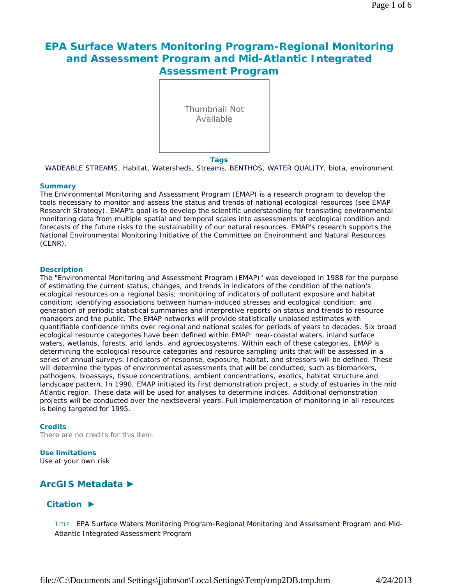# **EPA Surface Waters Monitoring Program-Regional Monitoring and Assessment Program and Mid-Atlantic Integrated Assessment Program**



#### **Tags**

WADEABLE STREAMS, Habitat, Watersheds, Streams, BENTHOS, WATER QUALITY, biota, environment

### **Summary**

The Environmental Monitoring and Assessment Program (EMAP) is a research program to develop the tools necessary to monitor and assess the status and trends of national ecological resources (see EMAP Research Strategy). EMAP's goal is to develop the scientific understanding for translating environmental monitoring data from multiple spatial and temporal scales into assessments of ecological condition and forecasts of the future risks to the sustainability of our natural resources. EMAP's research supports the National Environmental Monitoring Initiative of the Committee on Environment and Natural Resources (CENR).

### **Description**

The "Environmental Monitoring and Assessment Program (EMAP)" was developed in 1988 for the purpose of estimating the current status, changes, and trends in indicators of the condition of the nation's ecological resources on a regional basis; monitoring of indicators of pollutant exposure and habitat condition; identifying associations between human-induced stresses and ecological condition; and generation of periodic statistical summaries and interpretive reports on status and trends to resource managers and the public. The EMAP networks will provide statistically unbiased estimates with quantifiable confidence limits over regional and national scales for periods of years to decades. Six broad ecological resource categories have been defined within EMAP: near-coastal waters, inland surface waters, wetlands, forests, arid lands, and agroecosystems. Within each of these categories, EMAP is determining the ecological resource categories and resource sampling units that will be assessed in a series of annual surveys. Indicators of response, exposure, habitat, and stressors will be defined. These will determine the types of environmental assessments that will be conducted, such as biomarkers, pathogens, bioassays, tissue concentrations, ambient concentrations, exotics, habitat structure and landscape pattern. In 1990, EMAP initiated its first demonstration project, a study of estuaries in the mid Atlantic region. These data will be used for analyses to determine indices. Additional demonstration projects will be conducted over the nextseveral years. Full implementation of monitoring in all resources is being targeted for 1995.

### **Credits**

There are no credits for this item.

# **Use limitations**

Use at your own risk

# **ArcGIS Metadata ►**

# **Citation ►**

TITLE EPA Surface Waters Monitoring Program-Regional Monitoring and Assessment Program and Mid-Atlantic Integrated Assessment Program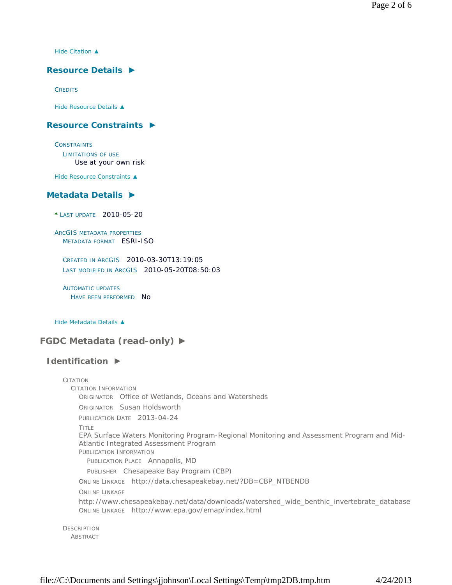*Hide Citation ▲*

# **Resource Details ►**

**CREDITS** 

*Hide Resource Details ▲*

# **Resource Constraints ►**

**CONSTRAINTS** 

LIMITATIONS OF USE Use at your own risk

*Hide Resource Constraints ▲*

# **Metadata Details ►**

**\*** LAST UPDATE 2010-05-20

ARCGIS METADATA PROPERTIES METADATA FORMAT ESRI-ISO

CREATED IN ARCGIS 2010-03-30T13:19:05 LAST MODIFIED IN ARCGIS 2010-05-20T08:50:03

AUTOMATIC UPDATES HAVE BEEN PERFORMED NO

*Hide Metadata Details ▲*

# **FGDC Metadata (read-only) ►**

# **Identification ►**

| CITATION                                                                                  |
|-------------------------------------------------------------------------------------------|
| CITATION INFORMATION                                                                      |
| <b>ORIGINATOR</b> Office of Wetlands, Oceans and Watersheds                               |
| ORIGINATOR Susan Holdsworth                                                               |
| PUBLICATION DATE 2013-04-24                                                               |
| TITLE                                                                                     |
| EPA Surface Waters Monitoring Program-Regional Monitoring and Assessment Program and Mid- |
| Atlantic Integrated Assessment Program                                                    |
| PUBLICATION INFORMATION                                                                   |
| PUBLICATION PLACE Annapolis, MD                                                           |
| PUBLISHER Chesapeake Bay Program (CBP)                                                    |
| ONLINE LINKAGE http://data.chesapeakebay.net/?DB=CBP_NTBENDB                              |
| <b>ONLINE LINKAGE</b>                                                                     |
| http://www.chesapeakebay.net/data/downloads/watershed_wide_benthic_invertebrate_database  |
| ONLINE LINKAGE http://www.epa.gov/emap/index.html                                         |
|                                                                                           |
| <b>DESCRIPTION</b>                                                                        |

ABSTRACT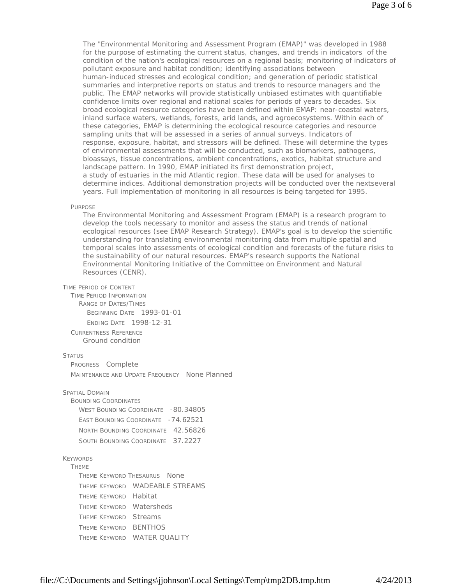The "Environmental Monitoring and Assessment Program (EMAP)" was developed in 1988 for the purpose of estimating the current status, changes, and trends in indicators of the condition of the nation's ecological resources on a regional basis; monitoring of indicators of pollutant exposure and habitat condition; identifying associations between human-induced stresses and ecological condition; and generation of periodic statistical summaries and interpretive reports on status and trends to resource managers and the public. The EMAP networks will provide statistically unbiased estimates with quantifiable confidence limits over regional and national scales for periods of years to decades. Six broad ecological resource categories have been defined within EMAP: near-coastal waters, inland surface waters, wetlands, forests, arid lands, and agroecosystems. Within each of these categories, EMAP is determining the ecological resource categories and resource sampling units that will be assessed in a series of annual surveys. Indicators of response, exposure, habitat, and stressors will be defined. These will determine the types of environmental assessments that will be conducted, such as biomarkers, pathogens, bioassays, tissue concentrations, ambient concentrations, exotics, habitat structure and landscape pattern. In 1990, EMAP initiated its first demonstration project, a study of estuaries in the mid Atlantic region. These data will be used for analyses to determine indices. Additional demonstration projects will be conducted over the nextseveral years. Full implementation of monitoring in all resources is being targeted for 1995.

#### PURPOSE

The Environmental Monitoring and Assessment Program (EMAP) is a research program to develop the tools necessary to monitor and assess the status and trends of national ecological resources (see EMAP Research Strategy). EMAP's goal is to develop the scientific understanding for translating environmental monitoring data from multiple spatial and temporal scales into assessments of ecological condition and forecasts of the future risks to the sustainability of our natural resources. EMAP's research supports the National Environmental Monitoring Initiative of the Committee on Environment and Natural Resources (CENR).

#### TIME PERIOD OF CONTENT

TIME PERIOD INFORMATION RANGE OF DATES/TIMES **BEGINNING DATE 1993-01-01** ENDING DATE 1998-12-31

CURRENTNESS REFERENCE Ground condition

#### **STATUS**

PROGRESS Complete MAINTENANCE AND UPDATE FREQUENCY None Planned

### SPATIAL DOMAIN

BOUNDING COORDINATES WEST BOUNDING COORDINATE -80.34805 EAST BOUNDING COORDINATE - 74.62521 NORTH BOUNDING COORDINATE 42.56826 SOUTH BOUNDING COORDINATE 37.2227

### KEYWORDS

**THEME** THEME KEYWORD THESAURUS None THEME KEYWORD WADEABLE STREAMS THEME KEYWORD Habitat THEME KEYWORD Watersheds THEME KEYWORD Streams THEME KEYWORD BENTHOS THEME KEYWORD WATER QUALITY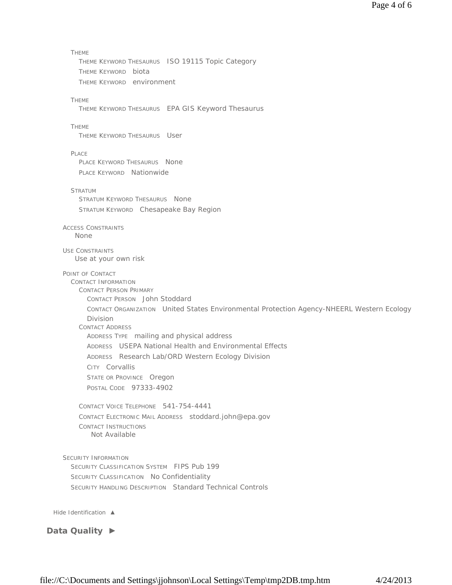```
THEME 
      THEME KEYWORD THESAURUS ISO 19115 Topic Category 
      THEME KEYWORD biota 
       THEME KEYWORD environment
    THEME 
      THEME KEYWORD THESAURUS EPA GIS Keyword Thesaurus
    THEME 
      THEME KEYWORD THESAURUS User
    PLACE.
      PLACE KEYWORD THESAURUS None
      PLACE KEYWORD Nationwide
    STRATUM
       STRATUM KEYWORD THESAURUS None
       STRATUM KEYWORD Chesapeake Bay Region
  ACCESS CONSTRAINTS
  USE CONSTRAINTS
  POINT OF CONTACT 
    CONTACT INFORMATION 
      CONTACT PERSON PRIMARY 
         CONTACT PERSON John Stoddard 
         CONTACT ORGANIZATION United States Environmental Protection Agency-NHEERL Western Ecology
         Division
       CONTACT ADDRESS 
         ADDRESS TYPE mailing and physical address 
         ADDRESS USEPA National Health and Environmental Effects 
         ADDRESS Research Lab/ORD Western Ecology Division 
         CITY Corvallis 
         STATE OR PROVINCE Oregon
         POSTAL CODE 97333-4902 
       CONTACT VOICE TELEPHONE 541-754-4441 
       CONTACT ELECTRONIC MAIL ADDRESS stoddard.john@epa.gov 
       CONTACT INSTRUCTIONS
  SECURITY INFORMATION 
    SECURITY CLASSIFICATION SYSTEM FIPS Pub 199
    SECURITY CLASSIFICATION No Confidentiality
     SECURITY HANDLING DESCRIPTION Standard Technical Controls
Hide Identification ▲
     None
     Use at your own risk
          Not Available
```
**Data Quality ►**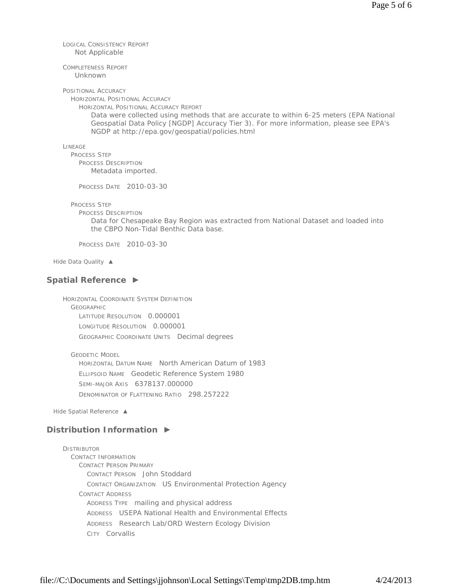LOGICAL CONSISTENCY REPORT Not Applicable

COMPLETENESS REPORT Unknown

POSITIONAL ACCURACY

HORIZONTAL POSITIONAL ACCURACY

HORIZONTAL POSITIONAL ACCURACY REPORT

Data were collected using methods that are accurate to within 6-25 meters (EPA National Geospatial Data Policy [NGDP] Accuracy Tier 3). For more information, please see EPA's NGDP at http://epa.gov/geospatial/policies.html

LINEAGE

PROCESS STEP PROCESS DESCRIPTION Metadata imported.

PROCESS DATE 2010-03-30

PROCESS STEP

PROCESS DESCRIPTION

Data for Chesapeake Bay Region was extracted from National Dataset and loaded into the CBPO Non-Tidal Benthic Data base.

PROCESS DATE 2010-03-30

*Hide Data Quality ▲*

# **Spatial Reference ►**

HORIZONTAL COORDINATE SYSTEM DEFINITION GEOGRAPHIC LATITUDE RESOLUTION 0.000001 LONGITUDE RESOLUTION 0.000001 GEOGRAPHIC COORDINATE UNITS Decimal degrees

GEODETIC MODEL

HORIZONTAL DATUM NAME North American Datum of 1983 ELLIPSOID NAME Geodetic Reference System 1980 SEMI-MAJOR AXIS 6378137.000000 DENOMINATOR OF FLATTENING RATIO 298.257222

*Hide Spatial Reference ▲*

# **Distribution Information ►**

**DISTRIBUTOR** CONTACT INFORMATION CONTACT PERSON PRIMARY CONTACT PERSON John Stoddard CONTACT ORGANIZATION US Environmental Protection Agency CONTACT ADDRESS ADDRESS TYPE mailing and physical address ADDRESS USEPA National Health and Environmental Effects ADDRESS Research Lab/ORD Western Ecology Division CITY Corvallis